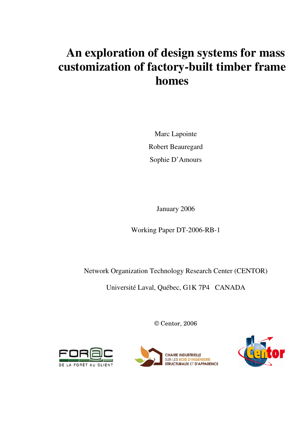# **An exploration of design systems for mass customization of factory-built timber frame homes**

Marc Lapointe Robert Beauregard Sophie D'Amours

January 2006

Working Paper DT-2006-RB-1

Network Organization Technology Research Center (CENTOR)

Université Laval, Québec, G1K 7P4 CANADA

© Centor, 2006





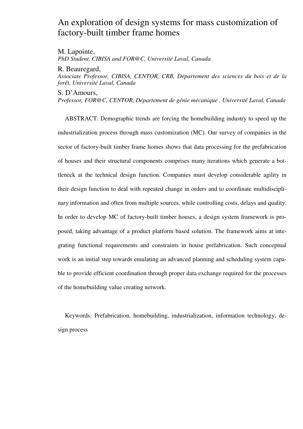# An exploration of design systems for mass customization of factory-built timber frame homes

M. Lapointe, *PhD Student, CIBISA and FOR@C, Université Laval, Canada*

R. Beauregard,

*Associate Professor, CIBISA, CENTOR, CRB, Département des sciences du bois et de la forêt, Université Laval, Canada*

S. D'Amours,

*Professor, FOR@C, CENTOR, Département de génie mécanique , Université Laval, Canada*

ABSTRACT: Demographic trends are forcing the homebuilding industry to speed up the industrialization process through mass customization (MC). Our survey of companies in the sector of factory-built timber frame homes shows that data processing for the prefabrication of houses and their structural components comprises many iterations which generate a bottleneck at the technical design function. Companies must develop considerable agility in their design function to deal with repeated change in orders and to coordinate multidisciplinary information and often from multiple sources, while controlling costs, delays and quality. In order to develop MC of factory-built timber houses, a design system framework is proposed, taking advantage of a product platform based solution. The framework aims at integrating functional requirements and constraints in house prefabrication. Such conceptual work is an initial step towards emulating an advanced planning and scheduling system capable to provide efficient coordination through proper data exchange required for the processes of the homebuilding value creating network.

Keywords: Prefabrication, homebuilding, industrialization, information technology, design process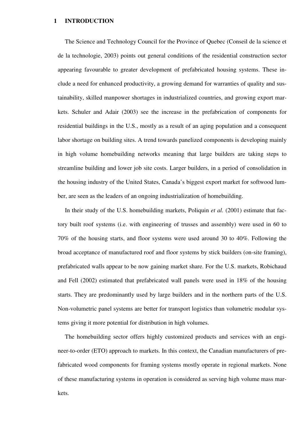#### **1 INTRODUCTION**

The Science and Technology Council for the Province of Quebec (Conseil de la science et de la technologie, 2003) points out general conditions of the residential construction sector appearing favourable to greater development of prefabricated housing systems. These include a need for enhanced productivity, a growing demand for warranties of quality and sustainability, skilled manpower shortages in industrialized countries, and growing export markets. Schuler and Adair (2003) see the increase in the prefabrication of components for residential buildings in the U.S., mostly as a result of an aging population and a consequent labor shortage on building sites. A trend towards panelized components is developing mainly in high volume homebuilding networks meaning that large builders are taking steps to streamline building and lower job site costs. Larger builders, in a period of consolidation in the housing industry of the United States, Canada's biggest export market for softwood lumber, are seen as the leaders of an ongoing industrialization of homebuilding.

In their study of the U.S. homebuilding markets, Poliquin *et al.* (2001) estimate that factory built roof systems (i.e. with engineering of trusses and assembly) were used in 60 to 70% of the housing starts, and floor systems were used around 30 to 40%. Following the broad acceptance of manufactured roof and floor systems by stick builders (on-site framing), prefabricated walls appear to be now gaining market share. For the U.S. markets, Robichaud and Fell (2002) estimated that prefabricated wall panels were used in 18% of the housing starts. They are predominantly used by large builders and in the northern parts of the U.S. Non-volumetric panel systems are better for transport logistics than volumetric modular systems giving it more potential for distribution in high volumes.

The homebuilding sector offers highly customized products and services with an engineer-to-order (ETO) approach to markets. In this context, the Canadian manufacturers of prefabricated wood components for framing systems mostly operate in regional markets. None of these manufacturing systems in operation is considered as serving high volume mass markets.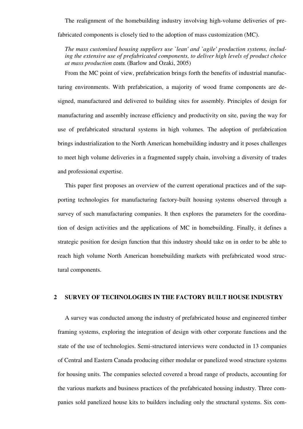The realignment of the homebuilding industry involving high-volume deliveries of prefabricated components is closely tied to the adoption of mass customization (MC).

*The mass customised housing suppliers use `lean' and `agile' production systems, including the extensive use of prefabricated components, to deliver high levels of product choice at mass production costs*. (Barlow and Ozaki, 2005)

From the MC point of view, prefabrication brings forth the benefits of industrial manufacturing environments. With prefabrication, a majority of wood frame components are designed, manufactured and delivered to building sites for assembly. Principles of design for manufacturing and assembly increase efficiency and productivity on site, paving the way for use of prefabricated structural systems in high volumes. The adoption of prefabrication brings industrialization to the North American homebuilding industry and it poses challenges to meet high volume deliveries in a fragmented supply chain, involving a diversity of trades and professional expertise.

This paper first proposes an overview of the current operational practices and of the supporting technologies for manufacturing factory-built housing systems observed through a survey of such manufacturing companies. It then explores the parameters for the coordination of design activities and the applications of MC in homebuilding. Finally, it defines a strategic position for design function that this industry should take on in order to be able to reach high volume North American homebuilding markets with prefabricated wood structural components.

#### **2 SURVEY OF TECHNOLOGIES IN THE FACTORY BUILT HOUSE INDUSTRY**

A survey was conducted among the industry of prefabricated house and engineered timber framing systems, exploring the integration of design with other corporate functions and the state of the use of technologies. Semi-structured interviews were conducted in 13 companies of Central and Eastern Canada producing either modular or panelized wood structure systems for housing units. The companies selected covered a broad range of products, accounting for the various markets and business practices of the prefabricated housing industry. Three companies sold panelized house kits to builders including only the structural systems. Six com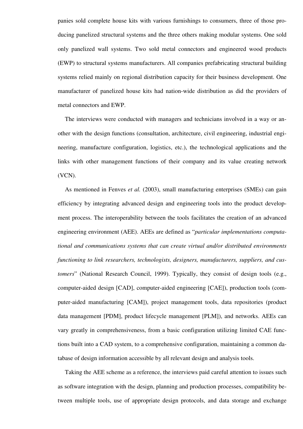panies sold complete house kits with various furnishings to consumers, three of those producing panelized structural systems and the three others making modular systems. One sold only panelized wall systems. Two sold metal connectors and engineered wood products (EWP) to structural systems manufacturers. All companies prefabricating structural building systems relied mainly on regional distribution capacity for their business development. One manufacturer of panelized house kits had nation-wide distribution as did the providers of metal connectors and EWP.

The interviews were conducted with managers and technicians involved in a way or another with the design functions (consultation, architecture, civil engineering, industrial engineering, manufacture configuration, logistics, etc.), the technological applications and the links with other management functions of their company and its value creating network (VCN).

As mentioned in Fenves *et al.* (2003), small manufacturing enterprises (SMEs) can gain efficiency by integrating advanced design and engineering tools into the product development process. The interoperability between the tools facilitates the creation of an advanced engineering environment (AEE). AEEs are defined as "*particular implementations computational and communications systems that can create virtual and/or distributed environments functioning to link researchers, technologists, designers, manufacturers, suppliers, and customers*" (National Research Council, 1999). Typically, they consist of design tools (e.g., computer-aided design [CAD], computer-aided engineering [CAE]), production tools (computer-aided manufacturing [CAM]), project management tools, data repositories (product data management [PDM], product lifecycle management [PLM]), and networks. AEEs can vary greatly in comprehensiveness, from a basic configuration utilizing limited CAE functions built into a CAD system, to a comprehensive configuration, maintaining a common database of design information accessible by all relevant design and analysis tools.

Taking the AEE scheme as a reference, the interviews paid careful attention to issues such as software integration with the design, planning and production processes, compatibility between multiple tools, use of appropriate design protocols, and data storage and exchange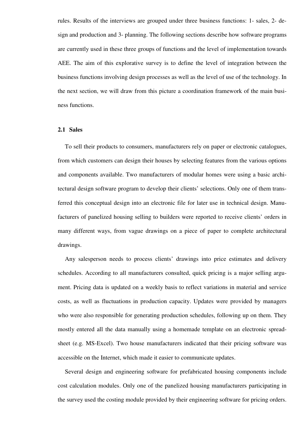rules. Results of the interviews are grouped under three business functions: 1- sales, 2- design and production and 3- planning. The following sections describe how software programs are currently used in these three groups of functions and the level of implementation towards AEE. The aim of this explorative survey is to define the level of integration between the business functions involving design processes as well as the level of use of the technology. In the next section, we will draw from this picture a coordination framework of the main business functions.

#### **2.1 Sales**

To sell their products to consumers, manufacturers rely on paper or electronic catalogues, from which customers can design their houses by selecting features from the various options and components available. Two manufacturers of modular homes were using a basic architectural design software program to develop their clients' selections. Only one of them transferred this conceptual design into an electronic file for later use in technical design. Manufacturers of panelized housing selling to builders were reported to receive clients' orders in many different ways, from vague drawings on a piece of paper to complete architectural drawings.

Any salesperson needs to process clients' drawings into price estimates and delivery schedules. According to all manufacturers consulted, quick pricing is a major selling argument. Pricing data is updated on a weekly basis to reflect variations in material and service costs, as well as fluctuations in production capacity. Updates were provided by managers who were also responsible for generating production schedules, following up on them. They mostly entered all the data manually using a homemade template on an electronic spreadsheet (e.g. MS-Excel). Two house manufacturers indicated that their pricing software was accessible on the Internet, which made it easier to communicate updates.

Several design and engineering software for prefabricated housing components include cost calculation modules. Only one of the panelized housing manufacturers participating in the survey used the costing module provided by their engineering software for pricing orders.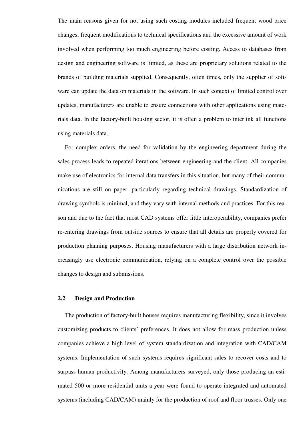The main reasons given for not using such costing modules included frequent wood price changes, frequent modifications to technical specifications and the excessive amount of work involved when performing too much engineering before costing. Access to databases from design and engineering software is limited, as these are proprietary solutions related to the brands of building materials supplied. Consequently, often times, only the supplier of software can update the data on materials in the software. In such context of limited control over updates, manufacturers are unable to ensure connections with other applications using materials data. In the factory-built housing sector, it is often a problem to interlink all functions using materials data.

For complex orders, the need for validation by the engineering department during the sales process leads to repeated iterations between engineering and the client. All companies make use of electronics for internal data transfers in this situation, but many of their communications are still on paper, particularly regarding technical drawings. Standardization of drawing symbols is minimal, and they vary with internal methods and practices. For this reason and due to the fact that most CAD systems offer little interoperability, companies prefer re-entering drawings from outside sources to ensure that all details are properly covered for production planning purposes. Housing manufacturers with a large distribution network increasingly use electronic communication, relying on a complete control over the possible changes to design and submissions.

## **2.2 Design and Production**

The production of factory-built houses requires manufacturing flexibility, since it involves customizing products to clients' preferences. It does not allow for mass production unless companies achieve a high level of system standardization and integration with CAD/CAM systems. Implementation of such systems requires significant sales to recover costs and to surpass human productivity. Among manufacturers surveyed, only those producing an estimated 500 or more residential units a year were found to operate integrated and automated systems (including CAD/CAM) mainly for the production of roof and floor trusses. Only one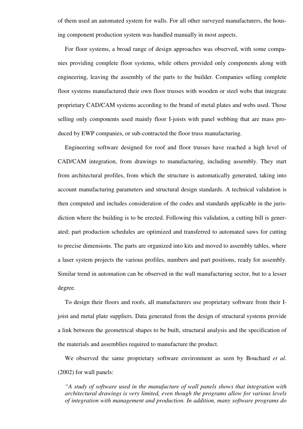of them used an automated system for walls. For all other surveyed manufacturers, the housing component production system was handled manually in most aspects.

For floor systems, a broad range of design approaches was observed, with some companies providing complete floor systems, while others provided only components along with engineering, leaving the assembly of the parts to the builder. Companies selling complete floor systems manufactured their own floor trusses with wooden or steel webs that integrate proprietary CAD/CAM systems according to the brand of metal plates and webs used. Those selling only components used mainly floor I-joists with panel webbing that are mass produced by EWP companies, or sub-contracted the floor truss manufacturing.

Engineering software designed for roof and floor trusses have reached a high level of CAD/CAM integration, from drawings to manufacturing, including assembly. They start from architectural profiles, from which the structure is automatically generated, taking into account manufacturing parameters and structural design standards. A technical validation is then computed and includes consideration of the codes and standards applicable in the jurisdiction where the building is to be erected. Following this validation, a cutting bill is generated; part production schedules are optimized and transferred to automated saws for cutting to precise dimensions. The parts are organized into kits and moved to assembly tables, where a laser system projects the various profiles, numbers and part positions, ready for assembly. Similar trend in automation can be observed in the wall manufacturing sector, but to a lesser degree.

To design their floors and roofs, all manufacturers use proprietary software from their Ijoist and metal plate suppliers. Data generated from the design of structural systems provide a link between the geometrical shapes to be built, structural analysis and the specification of the materials and assemblies required to manufacture the product.

We observed the same proprietary software environment as seen by Bouchard *et al.* (2002) for wall panels:

*"A study of software used in the manufacture of wall panels shows that integration with architectural drawings is very limited, even though the programs allow for various levels of integration with management and production. In addition, many software programs do*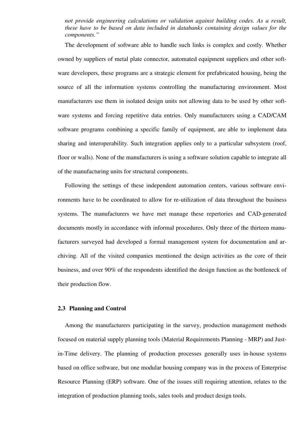# *not provide engineering calculations or validation against building codes. As a result, these have to be based on data included in databanks containing design values for the components."*

The development of software able to handle such links is complex and costly. Whether owned by suppliers of metal plate connector, automated equipment suppliers and other software developers, these programs are a strategic element for prefabricated housing, being the source of all the information systems controlling the manufacturing environment. Most manufacturers use them in isolated design units not allowing data to be used by other software systems and forcing repetitive data entries. Only manufacturers using a CAD/CAM software programs combining a specific family of equipment, are able to implement data sharing and interoperability. Such integration applies only to a particular subsystem (roof, floor or walls). None of the manufacturers is using a software solution capable to integrate all of the manufacturing units for structural components.

Following the settings of these independent automation centers, various software environments have to be coordinated to allow for re-utilization of data throughout the business systems. The manufacturers we have met manage these repertories and CAD-generated documents mostly in accordance with informal procedures. Only three of the thirteen manufacturers surveyed had developed a formal management system for documentation and archiving. All of the visited companies mentioned the design activities as the core of their business, and over 90% of the respondents identified the design function as the bottleneck of their production flow.

#### **2.3 Planning and Control**

Among the manufacturers participating in the survey, production management methods focused on material supply planning tools (Material Requirements Planning - MRP) and Justin-Time delivery. The planning of production processes generally uses in-house systems based on office software, but one modular housing company was in the process of Enterprise Resource Planning (ERP) software. One of the issues still requiring attention, relates to the integration of production planning tools, sales tools and product design tools.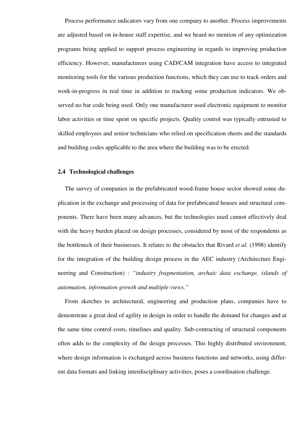Process performance indicators vary from one company to another. Process improvements are adjusted based on in-house staff expertise, and we heard no mention of any optimization programs being applied to support process engineering in regards to improving production efficiency. However, manufacturers using CAD/CAM integration have access to integrated monitoring tools for the various production functions, which they can use to track orders and work-in-progress in real time in addition to tracking some production indicators. We observed no bar code being used. Only one manufacturer used electronic equipment to monitor labor activities or time spent on specific projects. Quality control was typically entrusted to skilled employees and senior technicians who relied on specification sheets and the standards and building codes applicable to the area where the building was to be erected.

#### **2.4 Technological challenges**

The survey of companies in the prefabricated wood-frame house sector showed some duplication in the exchange and processing of data for prefabricated houses and structural components. There have been many advances, but the technologies used cannot effectively deal with the heavy burden placed on design processes, considered by most of the respondents as the bottleneck of their businesses. It relates to the obstacles that Rivard *et al.* (1998) identify for the integration of the building design process in the AEC industry (Architecture Engineering and Construction) : *"industry fragmentation, archaic data exchange, islands of automation, information growth and multiple views."*

From sketches to architectural, engineering and production plans, companies have to demonstrate a great deal of agility in design in order to handle the demand for changes and at the same time control costs, timelines and quality. Sub-contracting of structural components often adds to the complexity of the design processes. This highly distributed environment, where design information is exchanged across business functions and networks, using different data formats and linking interdisciplinary activities, poses a coordination challenge.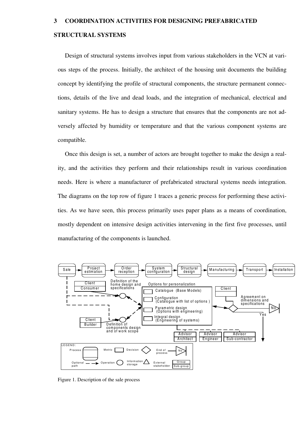# **3 COORDINATION ACTIVITIES FOR DESIGNING PREFABRICATED**

#### **STRUCTURAL SYSTEMS**

Design of structural systems involves input from various stakeholders in the VCN at various steps of the process. Initially, the architect of the housing unit documents the building concept by identifying the profile of structural components, the structure permanent connections, details of the live and dead loads, and the integration of mechanical, electrical and sanitary systems. He has to design a structure that ensures that the components are not adversely affected by humidity or temperature and that the various component systems are compatible.

Once this design is set, a number of actors are brought together to make the design a reality, and the activities they perform and their relationships result in various coordination needs. Here is where a manufacturer of prefabricated structural systems needs integration. The diagrams on the top row of figure 1 traces a generic process for performing these activities. As we have seen, this process primarily uses paper plans as a means of coordination, mostly dependent on intensive design activities intervening in the first five processes, until manufacturing of the components is launched.



Figure 1. Description of the sale process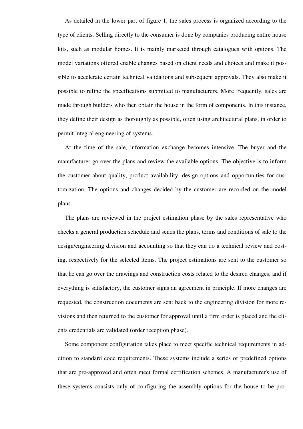As detailed in the lower part of figure 1, the sales process is organized according to the type of clients. Selling directly to the consumer is done by companies producing entire house kits, such as modular homes. It is mainly marketed through catalogues with options. The model variations offered enable changes based on client needs and choices and make it possible to accelerate certain technical validations and subsequent approvals. They also make it possible to refine the specifications submitted to manufacturers. More frequently, sales are made through builders who then obtain the house in the form of components. In this instance, they define their design as thoroughly as possible, often using architectural plans, in order to permit integral engineering of systems.

At the time of the sale, information exchange becomes intensive. The buyer and the manufacturer go over the plans and review the available options. The objective is to inform the customer about quality, product availability, design options and opportunities for customization. The options and changes decided by the customer are recorded on the model plans.

The plans are reviewed in the project estimation phase by the sales representative who checks a general production schedule and sends the plans, terms and conditions of sale to the design/engineering division and accounting so that they can do a technical review and costing, respectively for the selected items. The project estimations are sent to the customer so that he can go over the drawings and construction costs related to the desired changes, and if everything is satisfactory, the customer signs an agreement in principle. If more changes are requested, the construction documents are sent back to the engineering division for more revisions and then returned to the customer for approval until a firm order is placed and the clients credentials are validated (order reception phase).

Some component configuration takes place to meet specific technical requirements in addition to standard code requirements. These systems include a series of predefined options that are pre-approved and often meet formal certification schemes. A manufacturer's use of these systems consists only of configuring the assembly options for the house to be pro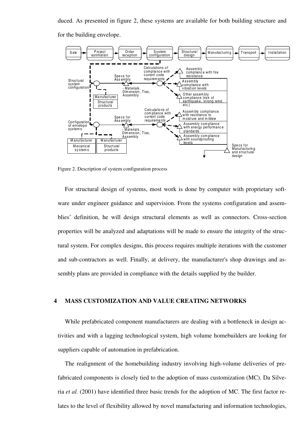duced. As presented in figure 2, these systems are available for both building structure and

for the building envelope.



Figure 2. Description of system configuration process

For structural design of systems, most work is done by computer with proprietary software under engineer guidance and supervision. From the systems configuration and assemblies' definition, he will design structural elements as well as connectors. Cross-section properties will be analyzed and adaptations will be made to ensure the integrity of the structural system. For complex designs, this process requires multiple iterations with the customer and sub-contractors as well. Finally, at delivery, the manufacturer's shop drawings and assembly plans are provided in compliance with the details supplied by the builder.

#### **4 MASS CUSTOMIZATION AND VALUE CREATING NETWORKS**

While prefabricated component manufacturers are dealing with a bottleneck in design activities and with a lagging technological system, high volume homebuilders are looking for suppliers capable of automation in prefabrication.

The realignment of the homebuilding industry involving high-volume deliveries of prefabricated components is closely tied to the adoption of mass customization (MC). Da Silveria *et al.* (2001) have identified three basic trends for the adoption of MC. The first factor relates to the level of flexibility allowed by novel manufacturing and information technologies,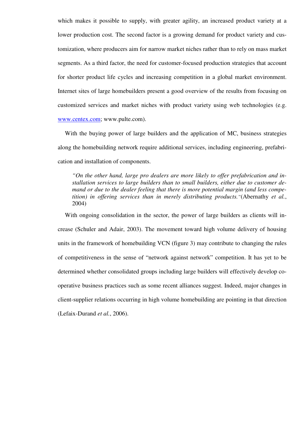which makes it possible to supply, with greater agility, an increased product variety at a lower production cost. The second factor is a growing demand for product variety and customization, where producers aim for narrow market niches rather than to rely on mass market segments. As a third factor, the need for customer-focused production strategies that account for shorter product life cycles and increasing competition in a global market environment. Internet sites of large homebuilders present a good overview of the results from focusing on customized services and market niches with product variety using web technologies (e.g. www.centex.com; www.pulte.com).

With the buying power of large builders and the application of MC, business strategies along the homebuilding network require additional services, including engineering, prefabrication and installation of components.

*"On the other hand, large pro dealers are more likely to offer prefabrication and installation services to large builders than to small builders, either due to customer demand or due to the dealer feeling that there is more potential margin (and less competition) in offering services than in merely distributing products."*(Abernathy *et al.*, 2004)

With ongoing consolidation in the sector, the power of large builders as clients will increase (Schuler and Adair, 2003). The movement toward high volume delivery of housing units in the framework of homebuilding VCN (figure 3) may contribute to changing the rules of competitiveness in the sense of "network against network" competition. It has yet to be determined whether consolidated groups including large builders will effectively develop cooperative business practices such as some recent alliances suggest. Indeed, major changes in client-supplier relations occurring in high volume homebuilding are pointing in that direction (Lefaix-Durand *et al.*, 2006).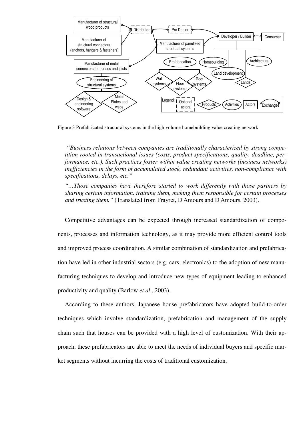

Figure 3 Prefabricated structural systems in the high volume homebuilding value creating network

*"Business relations between companies are traditionally characterized by strong competition rooted in transactional issues (costs, product specifications, quality, deadline, performance, etc.). Such practices foster within value creating networks (business networks) inefficiencies in the form of accumulated stock, redundant activities, non-compliance with specifications, delays, etc."*

*"…Those companies have therefore started to work differently with those partners by sharing certain information, training them, making them responsible for certain processes and trusting them."* (Translated from Frayret, D'Amours and D'Amours, 2003).

Competitive advantages can be expected through increased standardization of components, processes and information technology, as it may provide more efficient control tools and improved process coordination. A similar combination of standardization and prefabrication have led in other industrial sectors (e.g. cars, electronics) to the adoption of new manufacturing techniques to develop and introduce new types of equipment leading to enhanced productivity and quality (Barlow *et al.*, 2003).

According to these authors, Japanese house prefabricators have adopted build-to-order techniques which involve standardization, prefabrication and management of the supply chain such that houses can be provided with a high level of customization. With their approach, these prefabricators are able to meet the needs of individual buyers and specific market segments without incurring the costs of traditional customization.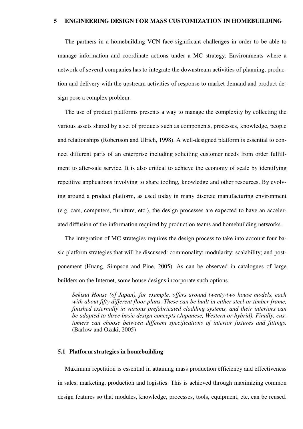#### **5 ENGINEERING DESIGN FOR MASS CUSTOMIZATION IN HOMEBUILDING**

The partners in a homebuilding VCN face significant challenges in order to be able to manage information and coordinate actions under a MC strategy. Environments where a network of several companies has to integrate the downstream activities of planning, production and delivery with the upstream activities of response to market demand and product design pose a complex problem.

The use of product platforms presents a way to manage the complexity by collecting the various assets shared by a set of products such as components, processes, knowledge, people and relationships (Robertson and Ulrich, 1998). A well-designed platform is essential to connect different parts of an enterprise including soliciting customer needs from order fulfillment to after-sale service. It is also critical to achieve the economy of scale by identifying repetitive applications involving to share tooling, knowledge and other resources. By evolving around a product platform, as used today in many discrete manufacturing environment (e.g. cars, computers, furniture, etc.), the design processes are expected to have an accelerated diffusion of the information required by production teams and homebuilding networks.

The integration of MC strategies requires the design process to take into account four basic platform strategies that will be discussed: commonality; modularity; scalability; and postponement (Huang, Simpson and Pine, 2005). As can be observed in catalogues of large builders on the Internet, some house designs incorporate such options.

*Sekisui House (of Japan), for example, offers around twenty-two house models, each with about fifty different floor plans. These can be built in either steel or timber frame, finished externally in various prefabricated cladding systems, and their interiors can be adapted to three basic design concepts (Japanese, Western or hybrid). Finally, customers can choose between different specifications of interior fixtures and fittings.* (Barlow and Ozaki, 2005)

#### **5.1 Platform strategies in homebuilding**

Maximum repetition is essential in attaining mass production efficiency and effectiveness in sales, marketing, production and logistics. This is achieved through maximizing common design features so that modules, knowledge, processes, tools, equipment, etc, can be reused.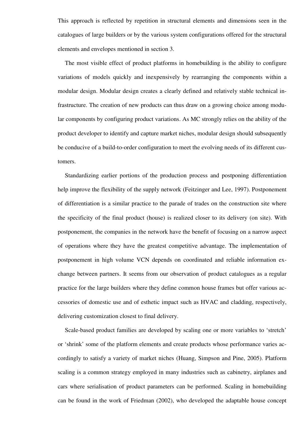This approach is reflected by repetition in structural elements and dimensions seen in the catalogues of large builders or by the various system configurations offered for the structural elements and envelopes mentioned in section 3.

The most visible effect of product platforms in homebuilding is the ability to configure variations of models quickly and inexpensively by rearranging the components within a modular design. Modular design creates a clearly defined and relatively stable technical infrastructure. The creation of new products can thus draw on a growing choice among modular components by configuring product variations. As MC strongly relies on the ability of the product developer to identify and capture market niches, modular design should subsequently be conducive of a build-to-order configuration to meet the evolving needs of its different customers.

Standardizing earlier portions of the production process and postponing differentiation help improve the flexibility of the supply network (Feitzinger and Lee, 1997). Postponement of differentiation is a similar practice to the parade of trades on the construction site where the specificity of the final product (house) is realized closer to its delivery (on site). With postponement, the companies in the network have the benefit of focusing on a narrow aspect of operations where they have the greatest competitive advantage. The implementation of postponement in high volume VCN depends on coordinated and reliable information exchange between partners. It seems from our observation of product catalogues as a regular practice for the large builders where they define common house frames but offer various accessories of domestic use and of esthetic impact such as HVAC and cladding, respectively, delivering customization closest to final delivery.

Scale-based product families are developed by scaling one or more variables to 'stretch' or 'shrink' some of the platform elements and create products whose performance varies accordingly to satisfy a variety of market niches (Huang, Simpson and Pine, 2005). Platform scaling is a common strategy employed in many industries such as cabinetry, airplanes and cars where serialisation of product parameters can be performed. Scaling in homebuilding can be found in the work of Friedman (2002), who developed the adaptable house concept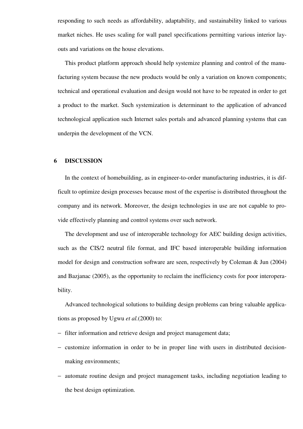responding to such needs as affordability, adaptability, and sustainability linked to various market niches. He uses scaling for wall panel specifications permitting various interior layouts and variations on the house elevations.

This product platform approach should help systemize planning and control of the manufacturing system because the new products would be only a variation on known components; technical and operational evaluation and design would not have to be repeated in order to get a product to the market. Such systemization is determinant to the application of advanced technological application such Internet sales portals and advanced planning systems that can underpin the development of the VCN.

## **6 DISCUSSION**

In the context of homebuilding, as in engineer-to-order manufacturing industries, it is difficult to optimize design processes because most of the expertise is distributed throughout the company and its network. Moreover, the design technologies in use are not capable to provide effectively planning and control systems over such network.

The development and use of interoperable technology for AEC building design activities, such as the CIS/2 neutral file format, and IFC based interoperable building information model for design and construction software are seen, respectively by Coleman & Jun (2004) and Bazjanac (2005), as the opportunity to reclaim the inefficiency costs for poor interoperability.

Advanced technological solutions to building design problems can bring valuable applications as proposed by Ugwu *et al.*(2000) to:

- − filter information and retrieve design and project management data;
- − customize information in order to be in proper line with users in distributed decisionmaking environments;
- − automate routine design and project management tasks, including negotiation leading to the best design optimization.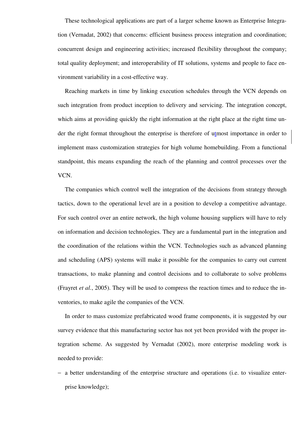These technological applications are part of a larger scheme known as Enterprise Integration (Vernadat, 2002) that concerns: efficient business process integration and coordination; concurrent design and engineering activities; increased flexibility throughout the company; total quality deployment; and interoperability of IT solutions, systems and people to face environment variability in a cost-effective way.

Reaching markets in time by linking execution schedules through the VCN depends on such integration from product inception to delivery and servicing. The integration concept, which aims at providing quickly the right information at the right place at the right time under the right format throughout the enterprise is therefore of utmost importance in order to implement mass customization strategies for high volume homebuilding. From a functional standpoint, this means expanding the reach of the planning and control processes over the VCN.

The companies which control well the integration of the decisions from strategy through tactics, down to the operational level are in a position to develop a competitive advantage. For such control over an entire network, the high volume housing suppliers will have to rely on information and decision technologies. They are a fundamental part in the integration and the coordination of the relations within the VCN. Technologies such as advanced planning and scheduling (APS) systems will make it possible for the companies to carry out current transactions, to make planning and control decisions and to collaborate to solve problems (Frayret *et al.*, 2005). They will be used to compress the reaction times and to reduce the inventories, to make agile the companies of the VCN.

In order to mass customize prefabricated wood frame components, it is suggested by our survey evidence that this manufacturing sector has not yet been provided with the proper integration scheme. As suggested by Vernadat (2002), more enterprise modeling work is needed to provide:

− a better understanding of the enterprise structure and operations (i.e. to visualize enterprise knowledge);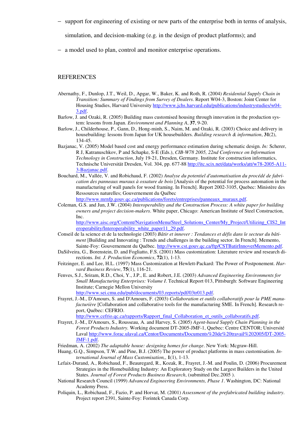− support for engineering of existing or new parts of the enterprise both in terms of analysis,

simulation, and decision-making (e.g. in the design of product platforms); and

− a model used to plan, control and monitor enterprise operations.

#### **REFERENCES**

- Abernathy, F., Dunlop, J.T., Weil, D., Apgar, W., Baker, K. and Roth, R. (2004) *Residential Supply Chain in Transition: Summary of Findings from Survey of Dealers*. Report W04-3, Boston: Joint Center for Housing Studies, Harvard University http://www.jchs.harvard.edu/publications/industrystudies/w04- 3.pdf.
- Barlow, J. and Ozaki, R. (2005) Building mass customised housing through innovation in the production system: lessons from Japan. *Environment and Planning A*, **37**, 9-20.
- Barlow, J., Childerhouse, P., Gann, D., Hong-minh, S., Naim, M. and Ozaki, R. (2003) Choice and delivery in housebuilding: lessons from Japan for UK housebuilders. *Building research & information*, **31**(2), 134-45.
- Bazjanac, V. (2005) Model based cost and energy performance estimation during schematic design. *In:* Scherer, R J, Katranuschkov, P and Schapke, S-E (Eds.), *CIB-W78 2005, 22nd Conference on Information Technology in Construction*, July 19-21, Dresden, Germany. Institute for construction informatics, Technische Universität Dresden, Vol. 304, pp. 677-88 http://itc.scix.net/data/works/att/w78-2005-A11-3-Bazjanac.pdf.
- Bouchard, M., Vallée, V. and Robichaud, F. (2002) *Analyse du potentiel d'automatisation du procédé de fabrication des panneaux muraux à ossature de bois* [Analysis of the potential for process automation in the manufacturing of wall panels for wood framing. In French]. Report 2002-3105, Quebec: Ministère des Ressources naturelles; Gouvernement du Québec

http://www.mrnfp.gouv.qc.ca/publications/forets/entreprises/panneaux\_muraux.pdf.

Coleman, G.S. and Jun, J.W. (2004) *Interoperability and the Construction Process: A white paper for building owners and project decision-makers*. White paper, Chicago: American Institute of Steel Construction, Inc.

http://www.aisc.org/Content/NavigationMenu/Steel\_Solutions\_Center/My\_Project/Utilizing\_CIS2\_Int eroperability/Interoperability\_white\_paper11\_29.pdf.

- Conseil de la science et de la technologie (2003) *Bâtir et innover : Tendances et défis dans le secteur du bâtiment* [Building and Innovating : Trends and challenges in the building sector. In French]. Memento, Sainte-Foy: Gouvernement du Québec. http://www.cst.gouv.qc.ca/ftp/CSTBatirInnoverMemento.pdf.
- DaSilveira, G., Borenstein, D. and Fogliatto, F.S. (2001) Mass customization: Literature review and research directions. *Int. J. Production Economics*, **72**(1), 1-13.
- Feitzinger, E. and Lee, H.L. (1997) Mass Customization at Hewlett-Packard: The Power of Postponement. *Harvard Business Review*, **75**(1), 116-21.
- Fenves, S.J., Sriram, R.D., Choi, Y., J.P., E. and Robert, J.E. (2003) *Advanced Engineering Environments for Small Manufacturing Enterprises: Volume I*. Technical Report 013, Pittsburgh: Software Engineering Institute; Carnegie Mellon University http://www.sei.cmu.edu/pub/documents/03.reports/pdf/03tr013.pdf.
- Frayret, J.-M., D'Amours, S. and D'Amours, F. (2003) *Collaboration et outils collaboratifs pour la PME manufacturière* [Collaboration and collaborative tools for the manufacturing SME. In French]. Research report, Québec: CEFRIO. http://www.cefrio.qc.ca/rapports/Rapport\_final\_Collaboration\_et\_outils\_collaboratifs.pdf.
- Frayret, J.-M., D'Amours, S., Rousseau, A. and Harvey, S. (2005) *Agent-based Supply Chain Planning in the*
- *Forest Products Industry.* Working document DT-2005-JMF-1, Quebec: Centre CENTOR; Université Laval http://www.forac.ulaval.ca/Centor/Documents/Documents%20de%20travail%202005/DT-2005- JMF-1.pdf.
- Friedman, A. (2002) *The adaptable house: designing homes for change*. New York: Mcgraw-Hill.
- Huang, G.Q., Simpson, T.W. and Pine, B.J. (2005) The power of product platforms in mass customisation. *International Journal of Mass Customisation,*, **1**(1), 1-13.
- Lefaix-Durand, A., Robichaud, F., Beauregard, R., Kozak, R., Frayret, J.-M. and Poulin, D. (2006) Procurement Strategies in the Homebuilding Industry: An Exploratory Study on the Largest Builders in the United States. *Journal of Forest Products Business Research*, (submitted Dec.2005 ).
- National Research Council (1999) *Advanced Engineering Environments, Phase 1*. Washington, DC: National Academy Press.
- Poliquin, L., Robichaud, F., Fazio, P. and Horvat, M. (2001) *Assessment of the prefabricated building industry*. Project report 2391, Sainte-Foy: Forintek Canada Corp.